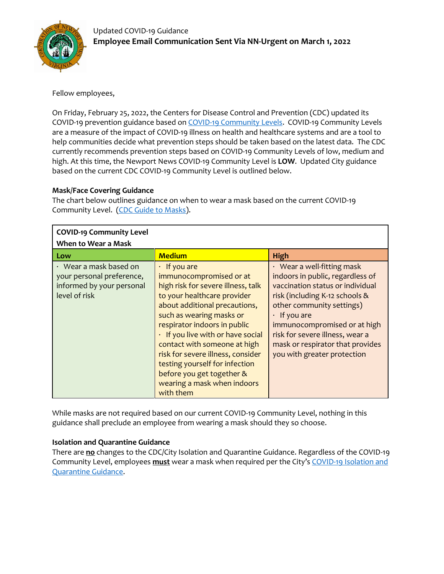

# Fellow employees,

On Friday, February 25, 2022, the Centers for Disease Control and Prevention (CDC) updated its COVID-19 prevention guidance based on [COVID-19 Community Levels.](https://www.cdc.gov/coronavirus/2019-ncov/science/community-levels.html) COVID-19 Community Levels are a measure of the impact of COVID-19 illness on health and healthcare systems and are a tool to help communities decide what prevention steps should be taken based on the latest data. The CDC currently recommends prevention steps based on COVID-19 Community Levels of low, medium and high. At this time, the Newport News COVID-19 Community Level is **LOW**. Updated City guidance based on the current CDC COVID-19 Community Level is outlined below.

### **Mask/Face Covering Guidance**

The chart below outlines guidance on when to wear a mask based on the current COVID-19 Community Level. [\(CDC Guide to Masks\)](https://www.cdc.gov/coronavirus/2019-ncov/prevent-getting-sick/about-face-coverings.html).

| <b>COVID-19 Community Level</b>                                                                         |                                                                                                                                                                                                                                                                                                                                                                                                                                      |                                                                                                                                                                                                                                                                                                                                     |
|---------------------------------------------------------------------------------------------------------|--------------------------------------------------------------------------------------------------------------------------------------------------------------------------------------------------------------------------------------------------------------------------------------------------------------------------------------------------------------------------------------------------------------------------------------|-------------------------------------------------------------------------------------------------------------------------------------------------------------------------------------------------------------------------------------------------------------------------------------------------------------------------------------|
| When to Wear a Mask                                                                                     |                                                                                                                                                                                                                                                                                                                                                                                                                                      |                                                                                                                                                                                                                                                                                                                                     |
| Low                                                                                                     | <b>Medium</b>                                                                                                                                                                                                                                                                                                                                                                                                                        | <b>High</b>                                                                                                                                                                                                                                                                                                                         |
| $\cdot$ Wear a mask based on<br>your personal preference,<br>informed by your personal<br>level of risk | $\cdot$ If you are<br>immunocompromised or at<br>high risk for severe illness, talk<br>to your healthcare provider<br>about additional precautions,<br>such as wearing masks or<br>respirator indoors in public<br>. If you live with or have social<br>contact with someone at high<br>risk for severe illness, consider<br>testing yourself for infection<br>before you get together &<br>wearing a mask when indoors<br>with them | $\cdot$ Wear a well-fitting mask<br>indoors in public, regardless of<br>vaccination status or individual<br>risk (including K-12 schools &<br>other community settings)<br>$\cdot$ If you are<br>immunocompromised or at high<br>risk for severe illness, wear a<br>mask or respirator that provides<br>you with greater protection |

While masks are not required based on our current COVID-19 Community Level, nothing in this guidance shall preclude an employee from wearing a mask should they so choose.

## **Isolation and Quarantine Guidance**

There are **no** changes to the CDC/City Isolation and Quarantine Guidance. Regardless of the COVID-19 Community Level, employees **must** wear a mask when required per the City's [COVID-19 Isolation and](https://www.nnva.gov/DocumentCenter/View/30372/Isolate-_Quarantine-Guidance)  [Quarantine Guidance.](https://www.nnva.gov/DocumentCenter/View/30372/Isolate-_Quarantine-Guidance)